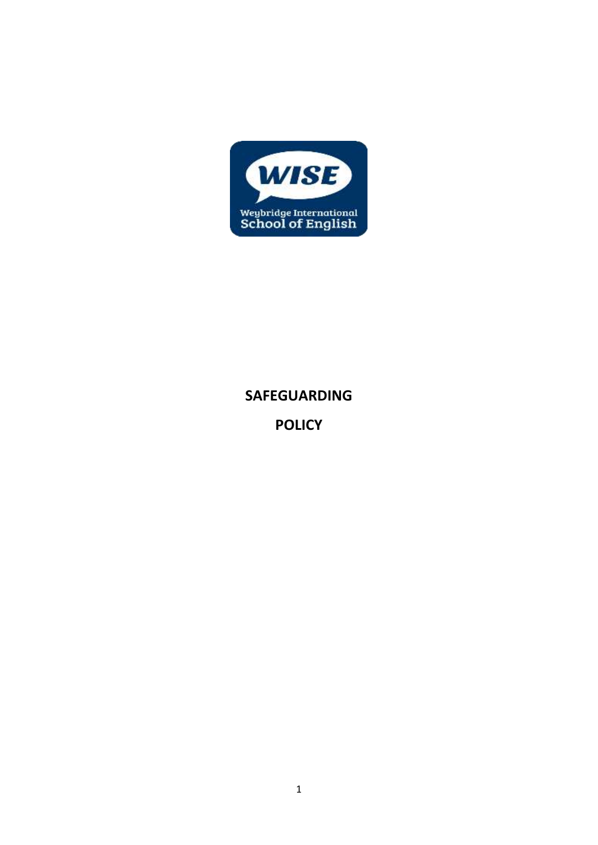

# **SAFEGUARDING**

**POLICY**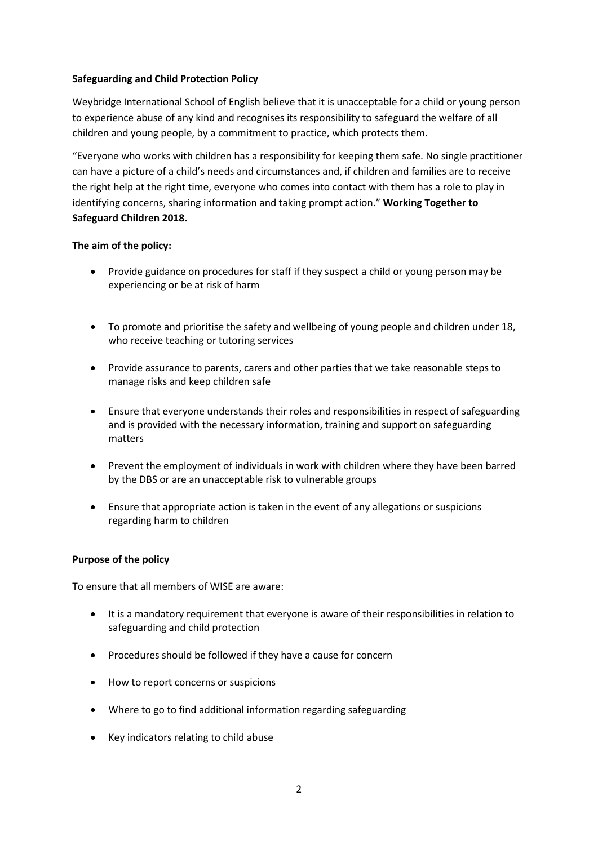## **Safeguarding and Child Protection Policy**

Weybridge International School of English believe that it is unacceptable for a child or young person to experience abuse of any kind and recognises its responsibility to safeguard the welfare of all children and young people, by a commitment to practice, which protects them.

"Everyone who works with children has a responsibility for keeping them safe. No single practitioner can have a picture of a child's needs and circumstances and, if children and families are to receive the right help at the right time, everyone who comes into contact with them has a role to play in identifying concerns, sharing information and taking prompt action." **Working Together to Safeguard Children 2018.**

## **The aim of the policy:**

- Provide guidance on procedures for staff if they suspect a child or young person may be experiencing or be at risk of harm
- To promote and prioritise the safety and wellbeing of young people and children under 18, who receive teaching or tutoring services
- Provide assurance to parents, carers and other parties that we take reasonable steps to manage risks and keep children safe
- Ensure that everyone understands their roles and responsibilities in respect of safeguarding and is provided with the necessary information, training and support on safeguarding matters
- Prevent the employment of individuals in work with children where they have been barred by the DBS or are an unacceptable risk to vulnerable groups
- Ensure that appropriate action is taken in the event of any allegations or suspicions regarding harm to children

#### **Purpose of the policy**

To ensure that all members of WISE are aware:

- It is a mandatory requirement that everyone is aware of their responsibilities in relation to safeguarding and child protection
- Procedures should be followed if they have a cause for concern
- How to report concerns or suspicions
- Where to go to find additional information regarding safeguarding
- Key indicators relating to child abuse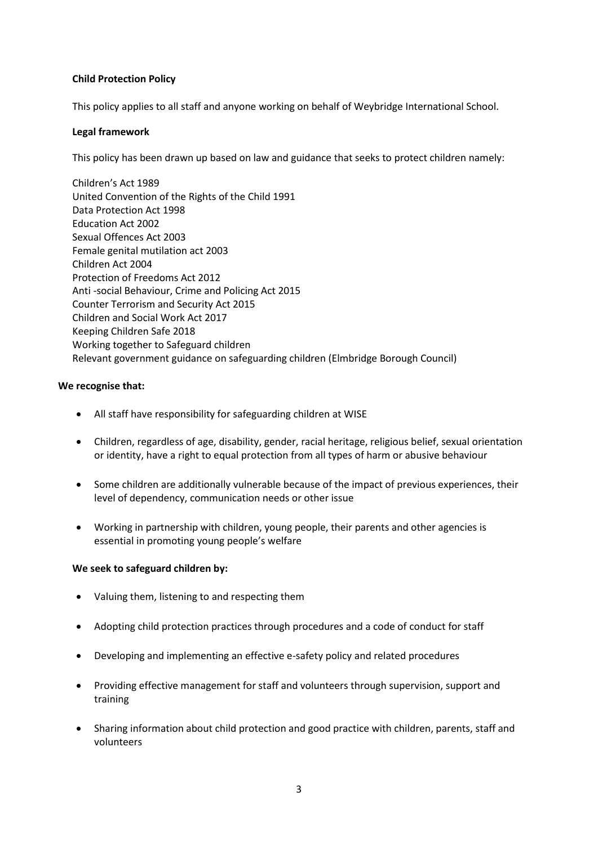## **Child Protection Policy**

This policy applies to all staff and anyone working on behalf of Weybridge International School.

#### **Legal framework**

This policy has been drawn up based on law and guidance that seeks to protect children namely:

Children's Act 1989 United Convention of the Rights of the Child 1991 Data Protection Act 1998 Education Act 2002 Sexual Offences Act 2003 Female genital mutilation act 2003 Children Act 2004 Protection of Freedoms Act 2012 Anti -social Behaviour, Crime and Policing Act 2015 Counter Terrorism and Security Act 2015 Children and Social Work Act 2017 Keeping Children Safe 2018 Working together to Safeguard children Relevant government guidance on safeguarding children (Elmbridge Borough Council)

## **We recognise that:**

- All staff have responsibility for safeguarding children at WISE
- Children, regardless of age, disability, gender, racial heritage, religious belief, sexual orientation or identity, have a right to equal protection from all types of harm or abusive behaviour
- Some children are additionally vulnerable because of the impact of previous experiences, their level of dependency, communication needs or other issue
- Working in partnership with children, young people, their parents and other agencies is essential in promoting young people's welfare

#### **We seek to safeguard children by:**

- Valuing them, listening to and respecting them
- Adopting child protection practices through procedures and a code of conduct for staff
- Developing and implementing an effective e-safety policy and related procedures
- Providing effective management for staff and volunteers through supervision, support and training
- Sharing information about child protection and good practice with children, parents, staff and volunteers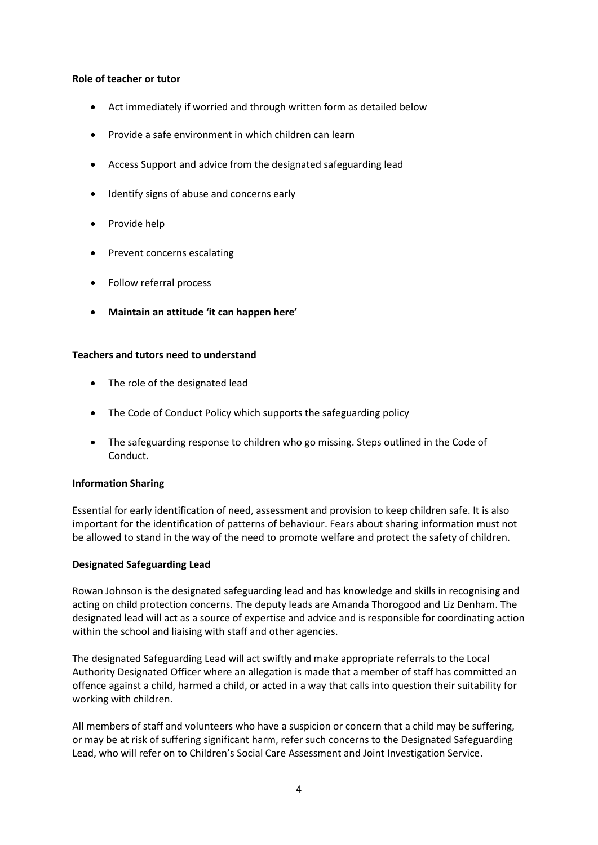#### **Role of teacher or tutor**

- Act immediately if worried and through written form as detailed below
- Provide a safe environment in which children can learn
- Access Support and advice from the designated safeguarding lead
- Identify signs of abuse and concerns early
- Provide help
- Prevent concerns escalating
- Follow referral process
- **Maintain an attitude 'it can happen here'**

#### **Teachers and tutors need to understand**

- The role of the designated lead
- The Code of Conduct Policy which supports the safeguarding policy
- The safeguarding response to children who go missing. Steps outlined in the Code of Conduct.

#### **Information Sharing**

Essential for early identification of need, assessment and provision to keep children safe. It is also important for the identification of patterns of behaviour. Fears about sharing information must not be allowed to stand in the way of the need to promote welfare and protect the safety of children.

#### **Designated Safeguarding Lead**

Rowan Johnson is the designated safeguarding lead and has knowledge and skills in recognising and acting on child protection concerns. The deputy leads are Amanda Thorogood and Liz Denham. The designated lead will act as a source of expertise and advice and is responsible for coordinating action within the school and liaising with staff and other agencies.

The designated Safeguarding Lead will act swiftly and make appropriate referrals to the Local Authority Designated Officer where an allegation is made that a member of staff has committed an offence against a child, harmed a child, or acted in a way that calls into question their suitability for working with children.

All members of staff and volunteers who have a suspicion or concern that a child may be suffering, or may be at risk of suffering significant harm, refer such concerns to the Designated Safeguarding Lead, who will refer on to Children's Social Care Assessment and Joint Investigation Service.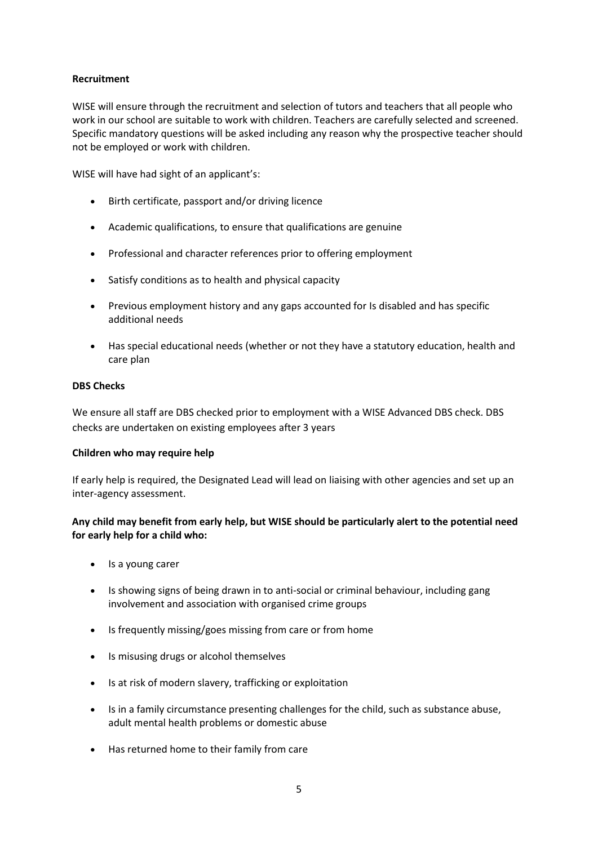# **Recruitment**

WISE will ensure through the recruitment and selection of tutors and teachers that all people who work in our school are suitable to work with children. Teachers are carefully selected and screened. Specific mandatory questions will be asked including any reason why the prospective teacher should not be employed or work with children.

WISE will have had sight of an applicant's:

- Birth certificate, passport and/or driving licence
- Academic qualifications, to ensure that qualifications are genuine
- Professional and character references prior to offering employment
- Satisfy conditions as to health and physical capacity
- Previous employment history and any gaps accounted for Is disabled and has specific additional needs
- Has special educational needs (whether or not they have a statutory education, health and care plan

#### **DBS Checks**

We ensure all staff are DBS checked prior to employment with a WISE Advanced DBS check. DBS checks are undertaken on existing employees after 3 years

#### **Children who may require help**

If early help is required, the Designated Lead will lead on liaising with other agencies and set up an inter-agency assessment.

## **Any child may benefit from early help, but WISE should be particularly alert to the potential need for early help for a child who:**

- Is a young carer
- Is showing signs of being drawn in to anti-social or criminal behaviour, including gang involvement and association with organised crime groups
- Is frequently missing/goes missing from care or from home
- Is misusing drugs or alcohol themselves
- Is at risk of modern slavery, trafficking or exploitation
- Is in a family circumstance presenting challenges for the child, such as substance abuse, adult mental health problems or domestic abuse
- Has returned home to their family from care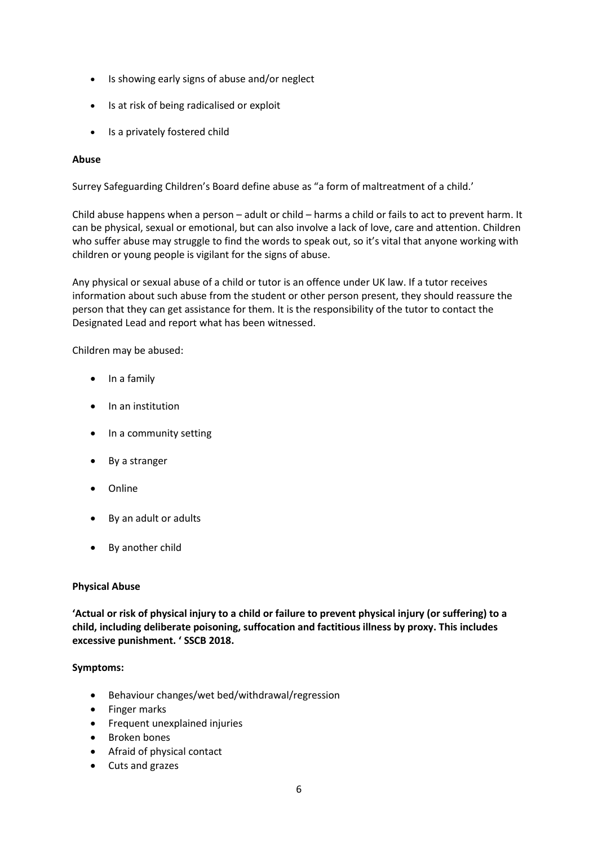- Is showing early signs of abuse and/or neglect
- Is at risk of being radicalised or exploit
- Is a privately fostered child

# **Abuse**

Surrey Safeguarding Children's Board define abuse as "a form of maltreatment of a child.'

Child abuse happens when a person – adult or child – harms a child or fails to act to prevent harm. It can be physical, sexual or emotional, but can also involve a lack of love, care and attention. Children who suffer abuse may struggle to find the words to speak out, so it's vital that anyone working with children or young people is vigilant for the signs of abuse.

Any physical or sexual abuse of a child or tutor is an offence unde[r UK law.](http://www.legislation.gov.uk/) If a tutor receives information about such abuse from the student or other person present, they should reassure the person that they can get assistance for them. It is the responsibility of the tutor to contact the Designated Lead and report what has been witnessed.

Children may be abused:

- In a family
- In an institution
- In a community setting
- By a stranger
- Online
- By an adult or adults
- By another child

#### **Physical Abuse**

**'Actual or risk of physical injury to a child or failure to prevent physical injury (or suffering) to a child, including deliberate poisoning, suffocation and factitious illness by proxy. This includes excessive punishment. ' SSCB 2018.**

#### **Symptoms:**

- Behaviour changes/wet bed/withdrawal/regression
- Finger marks
- Frequent unexplained injuries
- Broken bones
- Afraid of physical contact
- Cuts and grazes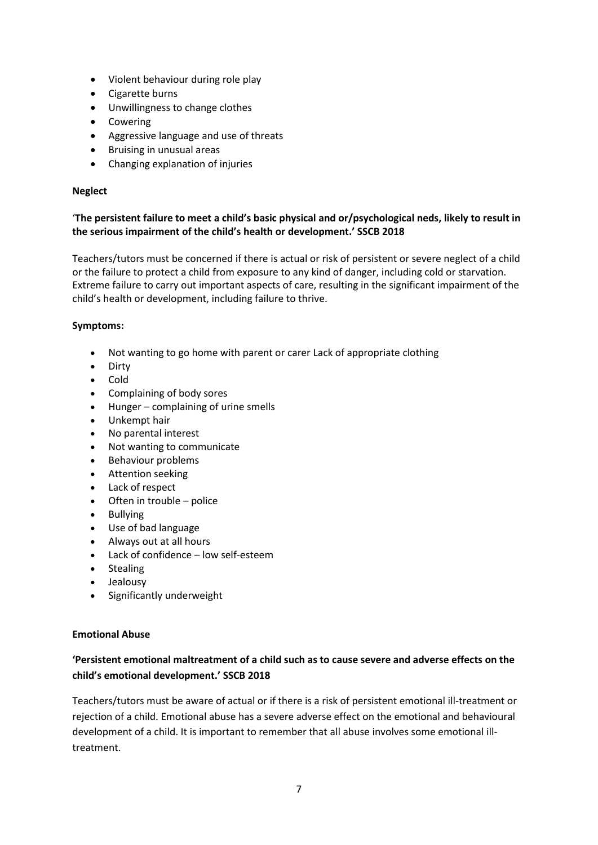- Violent behaviour during role play
- Cigarette burns
- Unwillingness to change clothes
- Cowering
- Aggressive language and use of threats
- **•** Bruising in unusual areas
- Changing explanation of injuries

## **Neglect**

# '**The persistent failure to meet a child's basic physical and or/psychological neds, likely to result in the serious impairment of the child's health or development.' SSCB 2018**

Teachers/tutors must be concerned if there is actual or risk of persistent or severe neglect of a child or the failure to protect a child from exposure to any kind of danger, including cold or starvation. Extreme failure to carry out important aspects of care, resulting in the significant impairment of the child's health or development, including failure to thrive.

## **Symptoms:**

- Not wanting to go home with parent or carer Lack of appropriate clothing
- Dirty
- Cold
- Complaining of body sores
- Hunger complaining of urine smells
- Unkempt hair
- No parental interest
- Not wanting to communicate
- Behaviour problems
- **•** Attention seeking
- Lack of respect
- Often in trouble police
- Bullying
- Use of bad language
- Always out at all hours
- Lack of confidence low self-esteem
- Stealing
- Jealousy
- Significantly underweight

# **Emotional Abuse**

# **'Persistent emotional maltreatment of a child such as to cause severe and adverse effects on the child's emotional development.' SSCB 2018**

Teachers/tutors must be aware of actual or if there is a risk of persistent emotional ill-treatment or rejection of a child. Emotional abuse has a severe adverse effect on the emotional and behavioural development of a child. It is important to remember that all abuse involves some emotional illtreatment.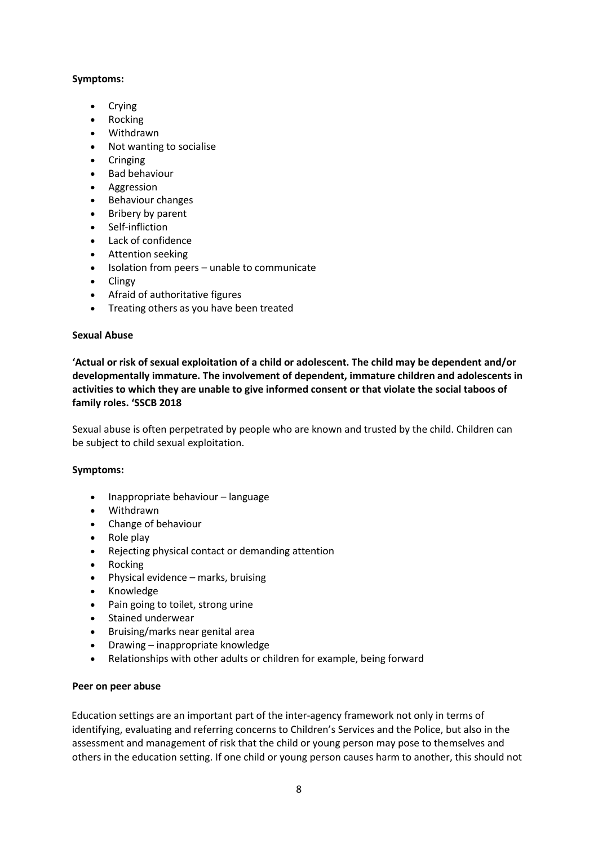# **Symptoms:**

- Crying
- Rocking
- Withdrawn
- Not wanting to socialise
- Cringing
- Bad behaviour
- Aggression
- Behaviour changes
- Bribery by parent
- Self-infliction
- Lack of confidence
- Attention seeking
- Isolation from peers unable to communicate
- Clingy
- Afraid of authoritative figures
- Treating others as you have been treated

#### **Sexual Abuse**

**'Actual or risk of sexual exploitation of a child or adolescent. The child may be dependent and/or developmentally immature. The involvement of dependent, immature children and adolescents in activities to which they are unable to give informed consent or that violate the social taboos of family roles. 'SSCB 2018**

Sexual abuse is often perpetrated by people who are known and trusted by the child. Children can be subject to child sexual exploitation.

#### **Symptoms:**

- Inappropriate behaviour language
- Withdrawn
- Change of behaviour
- $\bullet$  Role play
- Rejecting physical contact or demanding attention
- Rocking
- Physical evidence marks, bruising
- Knowledge
- Pain going to toilet, strong urine
- Stained underwear
- Bruising/marks near genital area
- Drawing inappropriate knowledge
- Relationships with other adults or children for example, being forward

#### **Peer on peer abuse**

Education settings are an important part of the inter-agency framework not only in terms of identifying, evaluating and referring concerns to Children's Services and the Police, but also in the assessment and management of risk that the child or young person may pose to themselves and others in the education setting. If one child or young person causes harm to another, this should not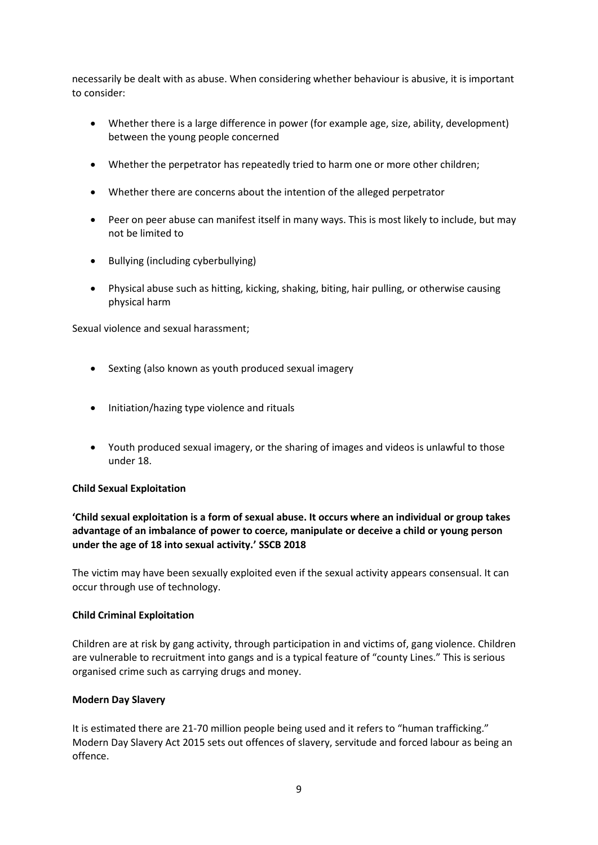necessarily be dealt with as abuse. When considering whether behaviour is abusive, it is important to consider:

- Whether there is a large difference in power (for example age, size, ability, development) between the young people concerned
- Whether the perpetrator has repeatedly tried to harm one or more other children;
- Whether there are concerns about the intention of the alleged perpetrator
- Peer on peer abuse can manifest itself in many ways. This is most likely to include, but may not be limited to
- Bullying (including cyberbullying)
- Physical abuse such as hitting, kicking, shaking, biting, hair pulling, or otherwise causing physical harm

Sexual violence and sexual harassment;

- Sexting (also known as youth produced sexual imagery
- Initiation/hazing type violence and rituals
- Youth produced sexual imagery, or the sharing of images and videos is unlawful to those under 18.

#### **Child Sexual Exploitation**

# **'Child sexual exploitation is a form of sexual abuse. It occurs where an individual or group takes advantage of an imbalance of power to coerce, manipulate or deceive a child or young person under the age of 18 into sexual activity.' SSCB 2018**

The victim may have been sexually exploited even if the sexual activity appears consensual. It can occur through use of technology.

#### **Child Criminal Exploitation**

Children are at risk by gang activity, through participation in and victims of, gang violence. Children are vulnerable to recruitment into gangs and is a typical feature of "county Lines." This is serious organised crime such as carrying drugs and money.

#### **Modern Day Slavery**

It is estimated there are 21-70 million people being used and it refers to "human trafficking." Modern Day Slavery Act 2015 sets out offences of slavery, servitude and forced labour as being an offence.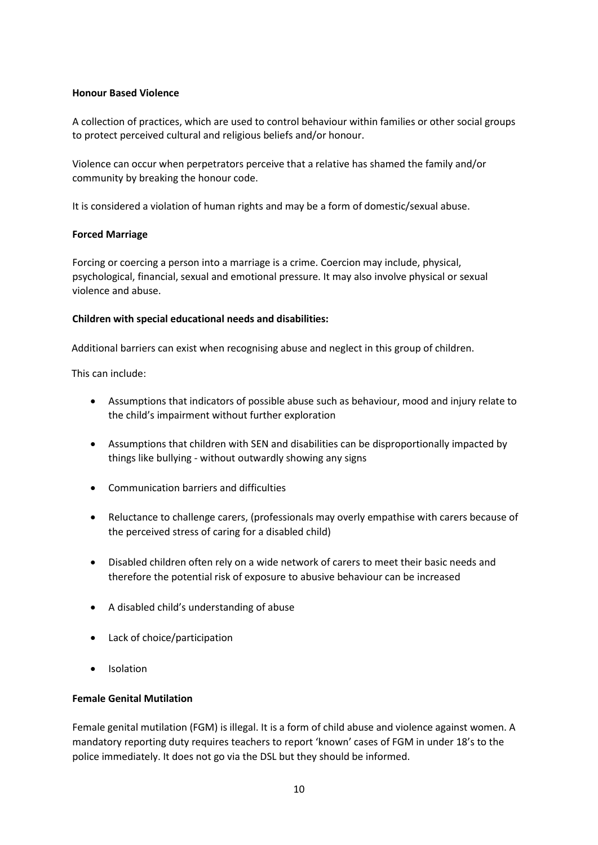#### **Honour Based Violence**

A collection of practices, which are used to control behaviour within families or other social groups to protect perceived cultural and religious beliefs and/or honour.

Violence can occur when perpetrators perceive that a relative has shamed the family and/or community by breaking the honour code.

It is considered a violation of human rights and may be a form of domestic/sexual abuse.

## **Forced Marriage**

Forcing or coercing a person into a marriage is a crime. Coercion may include, physical, psychological, financial, sexual and emotional pressure. It may also involve physical or sexual violence and abuse.

## **Children with special educational needs and disabilities:**

Additional barriers can exist when recognising abuse and neglect in this group of children.

This can include:

- Assumptions that indicators of possible abuse such as behaviour, mood and injury relate to the child's impairment without further exploration
- Assumptions that children with SEN and disabilities can be disproportionally impacted by things like bullying - without outwardly showing any signs
- Communication barriers and difficulties
- Reluctance to challenge carers, (professionals may overly empathise with carers because of the perceived stress of caring for a disabled child)
- Disabled children often rely on a wide network of carers to meet their basic needs and therefore the potential risk of exposure to abusive behaviour can be increased
- A disabled child's understanding of abuse
- Lack of choice/participation
- Isolation

#### **Female Genital Mutilation**

Female genital mutilation (FGM) is illegal. It is a form of child abuse and violence against women. A mandatory reporting duty requires teachers to report 'known' cases of FGM in under 18's to the police immediately. It does not go via the DSL but they should be informed.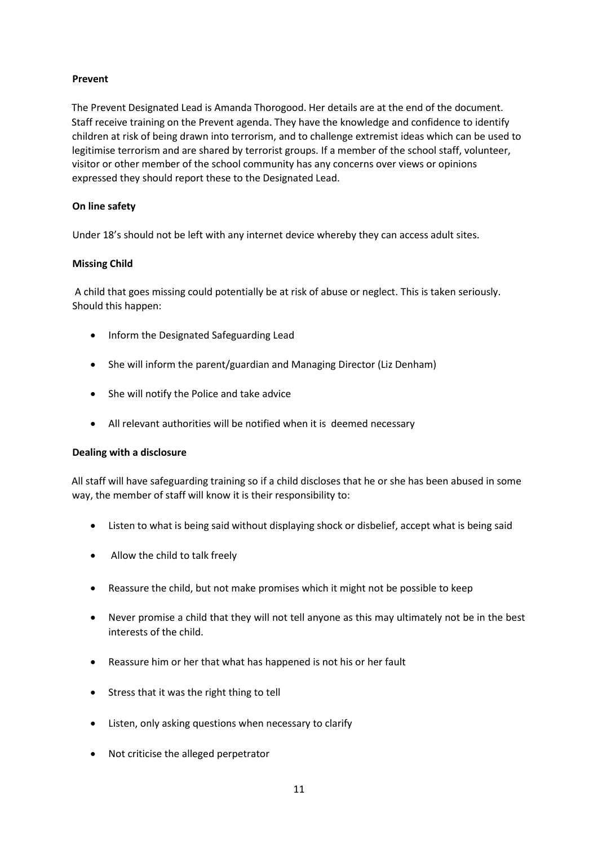## **Prevent**

The Prevent Designated Lead is Amanda Thorogood. Her details are at the end of the document. Staff receive training on the Prevent agenda. They have the knowledge and confidence to identify children at risk of being drawn into terrorism, and to challenge extremist ideas which can be used to legitimise terrorism and are shared by terrorist groups. If a member of the school staff, volunteer, visitor or other member of the school community has any concerns over views or opinions expressed they should report these to the Designated Lead.

# **On line safety**

Under 18's should not be left with any internet device whereby they can access adult sites.

## **Missing Child**

A child that goes missing could potentially be at risk of abuse or neglect. This is taken seriously. Should this happen:

- Inform the Designated Safeguarding Lead
- She will inform the parent/guardian and Managing Director (Liz Denham)
- She will notify the Police and take advice
- All relevant authorities will be notified when it is deemed necessary

#### **Dealing with a disclosure**

All staff will have safeguarding training so if a child discloses that he or she has been abused in some way, the member of staff will know it is their responsibility to:

- Listen to what is being said without displaying shock or disbelief, accept what is being said
- Allow the child to talk freely
- Reassure the child, but not make promises which it might not be possible to keep
- Never promise a child that they will not tell anyone as this may ultimately not be in the best interests of the child.
- Reassure him or her that what has happened is not his or her fault
- Stress that it was the right thing to tell
- Listen, only asking questions when necessary to clarify
- Not criticise the alleged perpetrator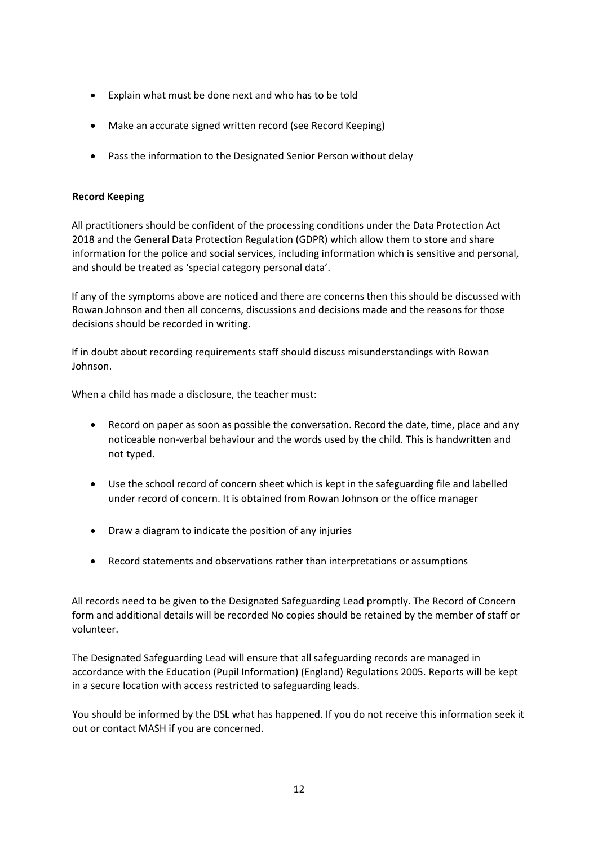- Explain what must be done next and who has to be told
- Make an accurate signed written record (see Record Keeping)
- Pass the information to the Designated Senior Person without delay

## **Record Keeping**

All practitioners should be confident of the processing conditions under the Data Protection Act 2018 and the General Data Protection Regulation (GDPR) which allow them to store and share information for the police and social services, including information which is sensitive and personal, and should be treated as 'special category personal data'.

If any of the symptoms above are noticed and there are concerns then this should be discussed with Rowan Johnson and then all concerns, discussions and decisions made and the reasons for those decisions should be recorded in writing.

If in doubt about recording requirements staff should discuss misunderstandings with Rowan Johnson.

When a child has made a disclosure, the teacher must:

- Record on paper as soon as possible the conversation. Record the date, time, place and any noticeable non-verbal behaviour and the words used by the child. This is handwritten and not typed.
- Use the school record of concern sheet which is kept in the safeguarding file and labelled under record of concern. It is obtained from Rowan Johnson or the office manager
- Draw a diagram to indicate the position of any injuries
- Record statements and observations rather than interpretations or assumptions

All records need to be given to the Designated Safeguarding Lead promptly. The Record of Concern form and additional details will be recorded No copies should be retained by the member of staff or volunteer.

The Designated Safeguarding Lead will ensure that all safeguarding records are managed in accordance with the Education (Pupil Information) (England) Regulations 2005. Reports will be kept in a secure location with access restricted to safeguarding leads.

You should be informed by the DSL what has happened. If you do not receive this information seek it out or contact MASH if you are concerned.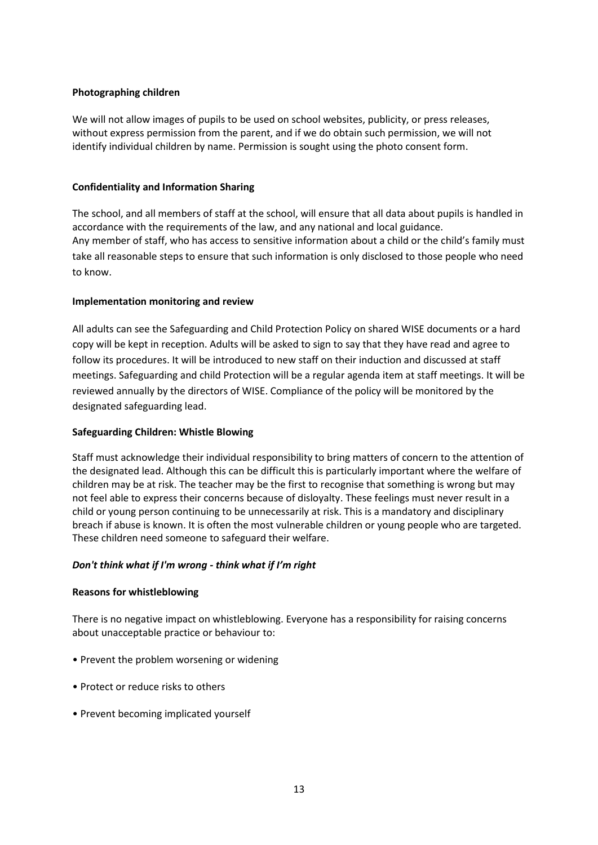#### **Photographing children**

We will not allow images of pupils to be used on school websites, publicity, or press releases, without express permission from the parent, and if we do obtain such permission, we will not identify individual children by name. Permission is sought using the photo consent form.

#### **Confidentiality and Information Sharing**

The school, and all members of staff at the school, will ensure that all data about pupils is handled in accordance with the requirements of the law, and any national and local guidance. Any member of staff, who has access to sensitive information about a child or the child's family must take all reasonable steps to ensure that such information is only disclosed to those people who need to know.

## **Implementation monitoring and review**

All adults can see the Safeguarding and Child Protection Policy on shared WISE documents or a hard copy will be kept in reception. Adults will be asked to sign to say that they have read and agree to follow its procedures. It will be introduced to new staff on their induction and discussed at staff meetings. Safeguarding and child Protection will be a regular agenda item at staff meetings. It will be reviewed annually by the directors of WISE. Compliance of the policy will be monitored by the designated safeguarding lead.

#### **Safeguarding Children: Whistle Blowing**

Staff must acknowledge their individual responsibility to bring matters of concern to the attention of the designated lead. Although this can be difficult this is particularly important where the welfare of children may be at risk. The teacher may be the first to recognise that something is wrong but may not feel able to express their concerns because of disloyalty. These feelings must never result in a child or young person continuing to be unnecessarily at risk. This is a mandatory and disciplinary breach if abuse is known. It is often the most vulnerable children or young people who are targeted. These children need someone to safeguard their welfare.

#### *Don't think what if I'm wrong - think what if I'm right*

#### **Reasons for whistleblowing**

There is no negative impact on whistleblowing. Everyone has a responsibility for raising concerns about unacceptable practice or behaviour to:

- Prevent the problem worsening or widening
- Protect or reduce risks to others
- Prevent becoming implicated yourself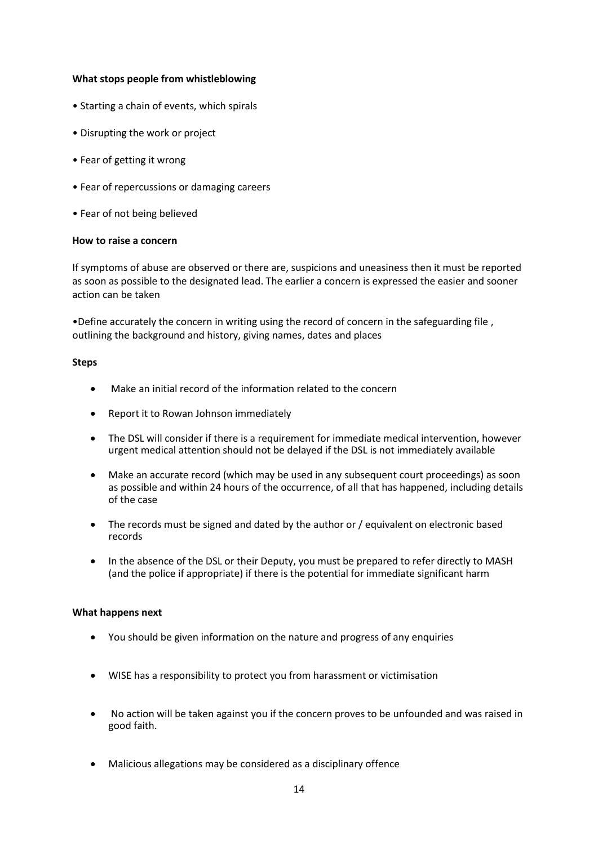#### **What stops people from whistleblowing**

- Starting a chain of events, which spirals
- Disrupting the work or project
- Fear of getting it wrong
- Fear of repercussions or damaging careers
- Fear of not being believed

#### **How to raise a concern**

If symptoms of abuse are observed or there are, suspicions and uneasiness then it must be reported as soon as possible to the designated lead. The earlier a concern is expressed the easier and sooner action can be taken

•Define accurately the concern in writing using the record of concern in the safeguarding file , outlining the background and history, giving names, dates and places

#### **Steps**

- Make an initial record of the information related to the concern
- Report it to Rowan Johnson immediately
- The DSL will consider if there is a requirement for immediate medical intervention, however urgent medical attention should not be delayed if the DSL is not immediately available
- Make an accurate record (which may be used in any subsequent court proceedings) as soon as possible and within 24 hours of the occurrence, of all that has happened, including details of the case
- The records must be signed and dated by the author or / equivalent on electronic based records
- In the absence of the DSL or their Deputy, you must be prepared to refer directly to MASH (and the police if appropriate) if there is the potential for immediate significant harm

#### **What happens next**

- You should be given information on the nature and progress of any enquiries
- WISE has a responsibility to protect you from harassment or victimisation
- No action will be taken against you if the concern proves to be unfounded and was raised in good faith.
- Malicious allegations may be considered as a disciplinary offence